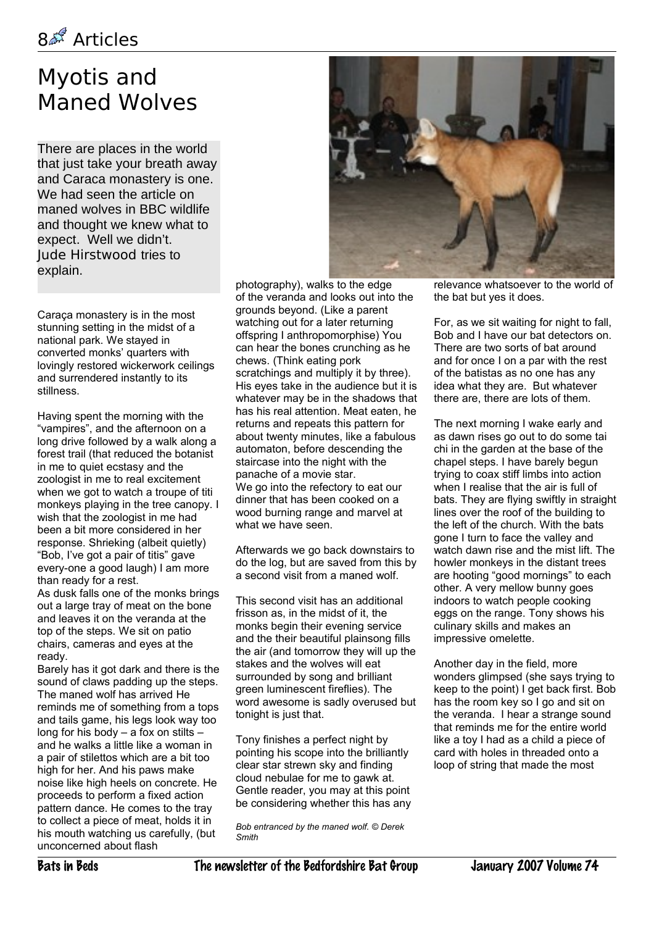## Myotis and Maned Wolves

There are places in the world that just take your breath away and Caraca monastery is one. We had seen the article on maned wolves in BBC wildlife and thought we knew what to expect. Well we didn't. Jude Hirstwood tries to explain.

Caraça monastery is in the most stunning setting in the midst of a national park. We stayed in converted monks' quarters with lovingly restored wickerwork ceilings and surrendered instantly to its stillness.

Having spent the morning with the "vampires", and the afternoon on a long drive followed by a walk along a forest trail (that reduced the botanist in me to quiet ecstasy and the zoologist in me to real excitement when we got to watch a troupe of titi monkeys playing in the tree canopy. I wish that the zoologist in me had been a bit more considered in her response. Shrieking (albeit quietly) "Bob, I've got a pair of titis" gave every-one a good laugh) I am more than ready for a rest.

As dusk falls one of the monks brings out a large tray of meat on the bone and leaves it on the veranda at the top of the steps. We sit on patio chairs, cameras and eyes at the ready.

Barely has it got dark and there is the sound of claws padding up the steps. The maned wolf has arrived He reminds me of something from a tops and tails game, his legs look way too long for his body – a fox on stilts – and he walks a little like a woman in a pair of stilettos which are a bit too high for her. And his paws make noise like high heels on concrete. He proceeds to perform a fixed action pattern dance. He comes to the tray to collect a piece of meat, holds it in his mouth watching us carefully, (but unconcerned about flash



photography), walks to the edge of the veranda and looks out into the grounds beyond. (Like a parent watching out for a later returning offspring I anthropomorphise) You can hear the bones crunching as he chews. (Think eating pork scratchings and multiply it by three). His eyes take in the audience but it is whatever may be in the shadows that has his real attention. Meat eaten, he returns and repeats this pattern for about twenty minutes, like a fabulous automaton, before descending the staircase into the night with the panache of a movie star. We go into the refectory to eat our dinner that has been cooked on a wood burning range and marvel at what we have seen.

Afterwards we go back downstairs to do the log, but are saved from this by a second visit from a maned wolf.

This second visit has an additional frisson as, in the midst of it, the monks begin their evening service and the their beautiful plainsong fills the air (and tomorrow they will up the stakes and the wolves will eat surrounded by song and brilliant green luminescent fireflies). The word awesome is sadly overused but tonight is just that.

Tony finishes a perfect night by pointing his scope into the brilliantly clear star strewn sky and finding cloud nebulae for me to gawk at. Gentle reader, you may at this point be considering whether this has any

*Bob entranced by the maned wolf. © Derek Smith*

relevance whatsoever to the world of the bat but yes it does.

For, as we sit waiting for night to fall, Bob and I have our bat detectors on. There are two sorts of bat around and for once I on a par with the rest of the batistas as no one has any idea what they are. But whatever there are, there are lots of them.

The next morning I wake early and as dawn rises go out to do some tai chi in the garden at the base of the chapel steps. I have barely begun trying to coax stiff limbs into action when I realise that the air is full of bats. They are flying swiftly in straight lines over the roof of the building to the left of the church. With the bats gone I turn to face the valley and watch dawn rise and the mist lift. The howler monkeys in the distant trees are hooting "good mornings" to each other. A very mellow bunny goes indoors to watch people cooking eggs on the range. Tony shows his culinary skills and makes an impressive omelette.

Another day in the field, more wonders glimpsed (she says trying to keep to the point) I get back first. Bob has the room key so I go and sit on the veranda. I hear a strange sound that reminds me for the entire world like a toy I had as a child a piece of card with holes in threaded onto a loop of string that made the most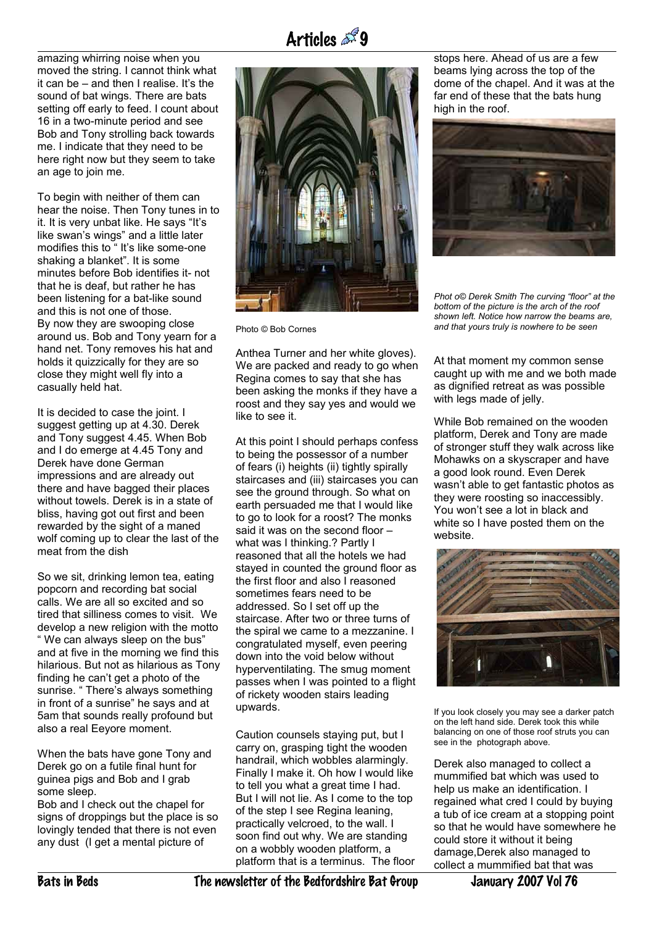Articles 29

amazing whirring noise when you moved the string. I cannot think what it can be – and then I realise. It's the sound of bat wings. There are bats setting off early to feed. I count about 16 in a two-minute period and see Bob and Tony strolling back towards me. I indicate that they need to be here right now but they seem to take an age to join me.

To begin with neither of them can hear the noise. Then Tony tunes in to it. It is very unbat like. He says "It's like swan's wings" and a little later modifies this to " It's like some-one shaking a blanket". It is some minutes before Bob identifies it- not that he is deaf, but rather he has been listening for a bat-like sound and this is not one of those. By now they are swooping close around us. Bob and Tony yearn for a hand net. Tony removes his hat and holds it quizzically for they are so close they might well fly into a casually held hat.

It is decided to case the joint. I suggest getting up at 4.30. Derek and Tony suggest 4.45. When Bob and I do emerge at 4.45 Tony and Derek have done German impressions and are already out there and have bagged their places without towels. Derek is in a state of bliss, having got out first and been rewarded by the sight of a maned wolf coming up to clear the last of the meat from the dish

So we sit, drinking lemon tea, eating popcorn and recording bat social calls. We are all so excited and so tired that silliness comes to visit. We develop a new religion with the motto " We can always sleep on the bus" and at five in the morning we find this hilarious. But not as hilarious as Tony finding he can't get a photo of the sunrise. " There's always something in front of a sunrise" he says and at 5am that sounds really profound but also a real Eeyore moment.

When the bats have gone Tony and Derek go on a futile final hunt for guinea pigs and Bob and I grab some sleep.

Bob and I check out the chapel for signs of droppings but the place is so lovingly tended that there is not even any dust (I get a mental picture of



Photo © Bob Cornes

Anthea Turner and her white gloves). We are packed and ready to go when Regina comes to say that she has been asking the monks if they have a roost and they say yes and would we like to see it.

At this point I should perhaps confess to being the possessor of a number of fears (i) heights (ii) tightly spirally staircases and (iii) staircases you can see the ground through. So what on earth persuaded me that I would like to go to look for a roost? The monks said it was on the second floor – what was I thinking.? Partly I reasoned that all the hotels we had stayed in counted the ground floor as the first floor and also I reasoned sometimes fears need to be addressed. So I set off up the staircase. After two or three turns of the spiral we came to a mezzanine. I congratulated myself, even peering down into the void below without hyperventilating. The smug moment passes when I was pointed to a flight of rickety wooden stairs leading upwards.

Caution counsels staying put, but I carry on, grasping tight the wooden handrail, which wobbles alarmingly. Finally I make it. Oh how I would like to tell you what a great time I had. But I will not lie. As I come to the top of the step I see Regina leaning, practically velcroed, to the wall. I soon find out why. We are standing on a wobbly wooden platform, a platform that is a terminus. The floor stops here. Ahead of us are a few beams lying across the top of the dome of the chapel. And it was at the far end of these that the bats hung high in the roof.



*Phot o© Derek Smith The curving "floor" at the bottom of the picture is the arch of the roof shown left. Notice how narrow the beams are, and that yours truly is nowhere to be seen*

At that moment my common sense caught up with me and we both made as dignified retreat as was possible with legs made of jelly.

While Bob remained on the wooden platform, Derek and Tony are made of stronger stuff they walk across like Mohawks on a skyscraper and have a good look round. Even Derek wasn't able to get fantastic photos as they were roosting so inaccessibly. You won't see a lot in black and white so I have posted them on the website.



If you look closely you may see a darker patch on the left hand side. Derek took this while balancing on one of those roof struts you can see in the photograph above.

Derek also managed to collect a mummified bat which was used to help us make an identification. I regained what cred I could by buying a tub of ice cream at a stopping point so that he would have somewhere he could store it without it being damage,Derek also managed to collect a mummified bat that was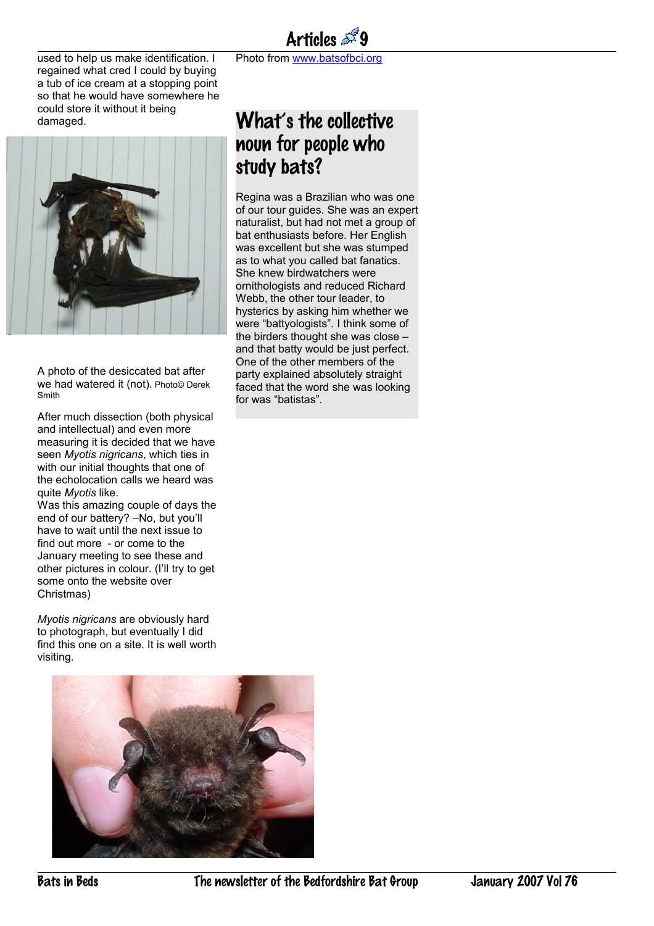

Photo from [www.batsofbci.org](http://www.batsofbci.org/)

used to help us make identification. I regained what cred I could by buying a tub of ice cream at a stopping point so that he would have somewhere he could store it without it being damaged.



A photo of the desiccated bat after we had watered it (not). Photo© Derek Smith

After much dissection (both physical and intellectual) and even more measuring it is decided that we have seen *Myotis nigricans*, which ties in with our initial thoughts that one of the echolocation calls we heard was quite *Myotis* like.

Was this amazing couple of days the end of our battery? –No, but you'll have to wait until the next issue to find out more - or come to the January meeting to see these and other pictures in colour. (I'll try to get some onto the website over Christmas)

*Myotis nigricans* are obviously hard to photograph, but eventually I did find this one on a site. It is well worth visiting.



### What's the collective noun for people who study bats?

Regina was a Brazilian who was one of our tour guides. She was an expert naturalist, but had not met a group of bat enthusiasts before. Her English was excellent but she was stumped as to what you called bat fanatics. She knew birdwatchers were ornithologists and reduced Richard Webb, the other tour leader, to hysterics by asking him whether we were "battyologists". I think some of the birders thought she was close – and that batty would be just perfect. One of the other members of the party explained absolutely straight faced that the word she was looking for was "batistas".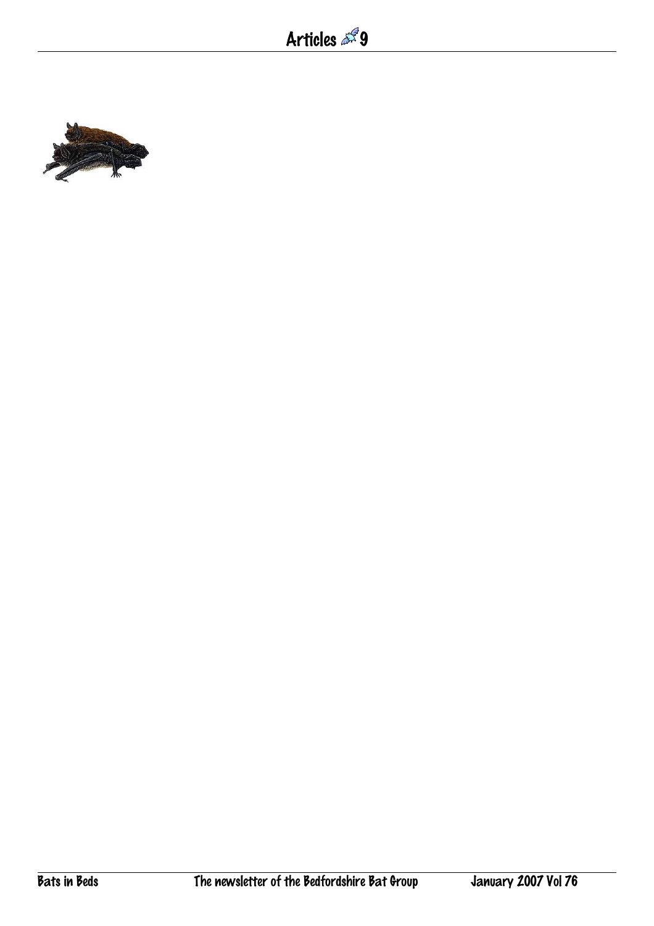